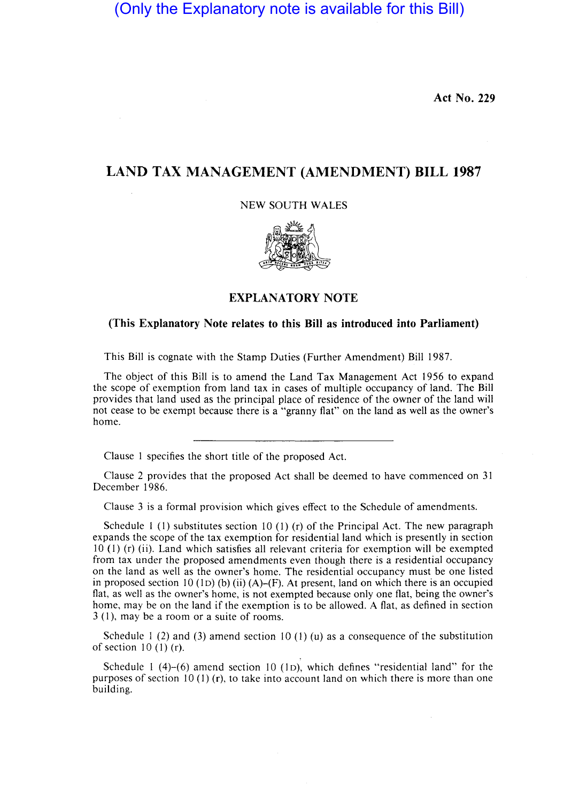(Only the Explanatory note is available for this Bill)

**Act No. 229** 

## **LAND TAX MANAGEMENT (AMENDMENT) BILL 1987**

NEW SOUTH WALES



## **EXPLANATORY NOTE**

## **(This Explanatory Note relates to this Bill as introduced into Parliament)**

This Bill is cognate with the Stamp Duties (Further Amendment) Bill 1987.

The object of this Bill is to amend the Land Tax Management Act 1956 to expand the scope of exemption from land tax in cases of multiple occupancy of land. The Bill provides that land used as the principal place of residence of the owner of the land will not cease to be exempt because there is a "granny flat" on the land as well as the owner's home.

Clause I specifies the short title of the proposed Act.

Clause 2 provides that the proposed Act shall be deemed to have commenced on 31 December 1986.

Clause 3 is a formal provision which gives effect to the Schedule of amendments.

Schedule 1 (1) substitutes section 10 (1) (r) of the Principal Act. The new paragraph expands the scope of the tax exemption for residential land which is presently in section 10 (I) (r) (ii). Land which satisfies all relevant criteria for exemption will be exempted from tax under the proposed amendments even though there is a residential occupancy on the land as well as the owner's home. The residential occupancy must be one listed in proposed section 10 (1D) (b) (ii) (A)–(F). At present, land on which there is an occupied flat, as well as the owner's home, is not exempted because only one flat, being the owner's home, may be on the land if the exemption is to be allowed. A flat, as defined in section 3 (I), may be a room or a suite of rooms.

Schedule 1 (2) and (3) amend section 10 (1) (u) as a consequence of the substitution of section 10 (I) (r).

Schedule I (4)-(6) amend section 10 (ID), which defines "residential land" for the purposes of section 10 (1) (r), to take into account land on which there is more than one building.